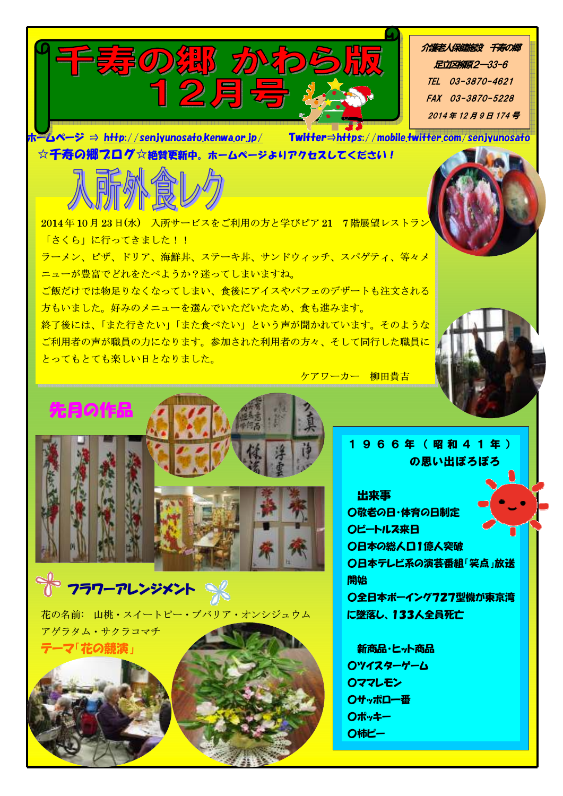